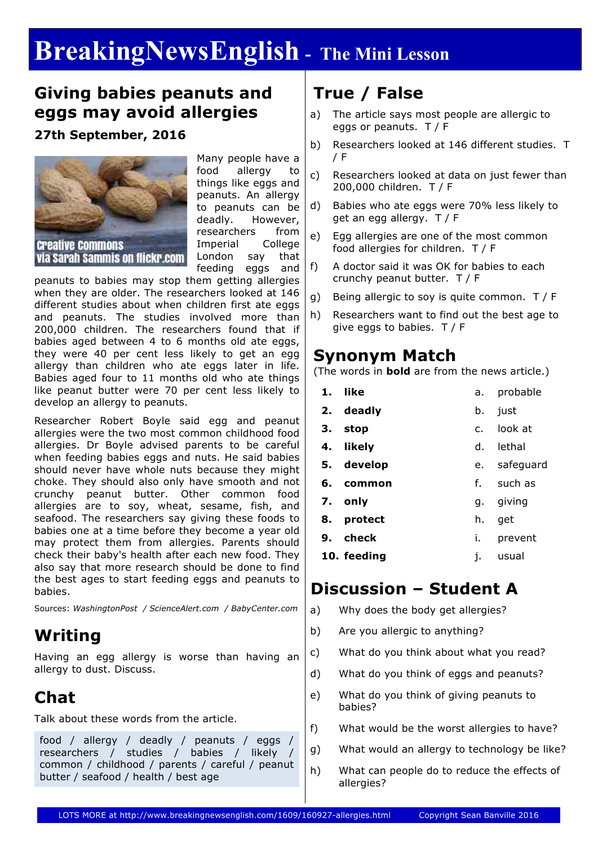# **BreakingNewsEnglish - The Mini Lesson**

### **Giving babies peanuts and eggs may avoid allergies**

### **27th September, 2016**



Many people have a food allergy to things like eggs and peanuts. An allergy to peanuts can be deadly. However, researchers from Imperial College London say that feeding eggs and

peanuts to babies may stop them getting allergies when they are older. The researchers looked at 146 different studies about when children first ate eggs and peanuts. The studies involved more than 200,000 children. The researchers found that if babies aged between 4 to 6 months old ate eggs, they were 40 per cent less likely to get an egg allergy than children who ate eggs later in life. Babies aged four to 11 months old who ate things like peanut butter were 70 per cent less likely to develop an allergy to peanuts.

Researcher Robert Boyle said egg and peanut allergies were the two most common childhood food allergies. Dr Boyle advised parents to be careful when feeding babies eggs and nuts. He said babies should never have whole nuts because they might choke. They should also only have smooth and not crunchy peanut butter. Other common food allergies are to soy, wheat, sesame, fish, and seafood. The researchers say giving these foods to babies one at a time before they become a year old may protect them from allergies. Parents should check their baby's health after each new food. They also say that more research should be done to find the best ages to start feeding eggs and peanuts to babies.

Sources: *WashingtonPost / ScienceAlert.com / BabyCenter.com*

### **Writing**

Having an egg allergy is worse than having an allergy to dust. Discuss.

## **Chat**

Talk about these words from the article.

food / allergy / deadly / peanuts / eggs / researchers / studies / babies / likely / common / childhood / parents / careful / peanut butter / seafood / health / best age

## **True / False**

- a) The article says most people are allergic to eggs or peanuts. T / F
- b) Researchers looked at 146 different studies. T / F
- c) Researchers looked at data on just fewer than 200,000 children. T / F
- d) Babies who ate eggs were 70% less likely to get an egg allergy. T / F
- e) Egg allergies are one of the most common food allergies for children. T / F
- f) A doctor said it was OK for babies to each crunchy peanut butter. T / F
- g) Being allergic to soy is quite common. T / F
- h) Researchers want to find out the best age to give eggs to babies. T / F

### **Synonym Match**

(The words in **bold** are from the news article.)

|    | 1. like     | а.      | probable   |
|----|-------------|---------|------------|
|    | 2. deadly   | b.      | just       |
|    | 3. stop     |         | c. look at |
|    | 4. likely   | $d_{-}$ | lethal     |
|    | 5. develop  | e.      | safeguard  |
| 6. | common      | f.      | such as    |
|    | 7. only     | q.      | giving     |
|    | 8. protect  | h.      | get        |
|    | 9. check    | i.      | prevent    |
|    | 10. feeding | j.      | usual      |

### **Discussion – Student A**

- a) Why does the body get allergies?
- b) Are you allergic to anything?
- c) What do you think about what you read?
- d) What do you think of eggs and peanuts?
- e) What do you think of giving peanuts to babies?
- f) What would be the worst allergies to have?
- g) What would an allergy to technology be like?
- h) What can people do to reduce the effects of allergies?